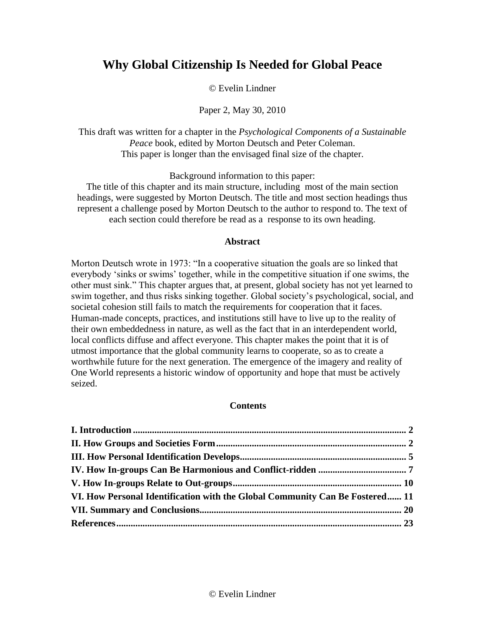# **Why Global Citizenship Is Needed for Global Peace**

## © Evelin Lindner

# Paper 2, May 30, 2010

This draft was written for a chapter in the *Psychological Components of a Sustainable Peace* book, edited by Morton Deutsch and Peter Coleman. This paper is longer than the envisaged final size of the chapter.

Background information to this paper:

The title of this chapter and its main structure, including most of the main section headings, were suggested by Morton Deutsch. The title and most section headings thus represent a challenge posed by Morton Deutsch to the author to respond to. The text of each section could therefore be read as a response to its own heading.

## **Abstract**

Morton Deutsch wrote in 1973: "In a cooperative situation the goals are so linked that everybody 'sinks or swims' together, while in the competitive situation if one swims, the other must sink." This chapter argues that, at present, global society has not yet learned to swim together, and thus risks sinking together. Global society's psychological, social, and societal cohesion still fails to match the requirements for cooperation that it faces. Human-made concepts, practices, and institutions still have to live up to the reality of their own embeddedness in nature, as well as the fact that in an interdependent world, local conflicts diffuse and affect everyone. This chapter makes the point that it is of utmost importance that the global community learns to cooperate, so as to create a worthwhile future for the next generation. The emergence of the imagery and reality of One World represents a historic window of opportunity and hope that must be actively seized.

## **Contents**

| VI. How Personal Identification with the Global Community Can Be Fostered 11 |  |
|------------------------------------------------------------------------------|--|
|                                                                              |  |
|                                                                              |  |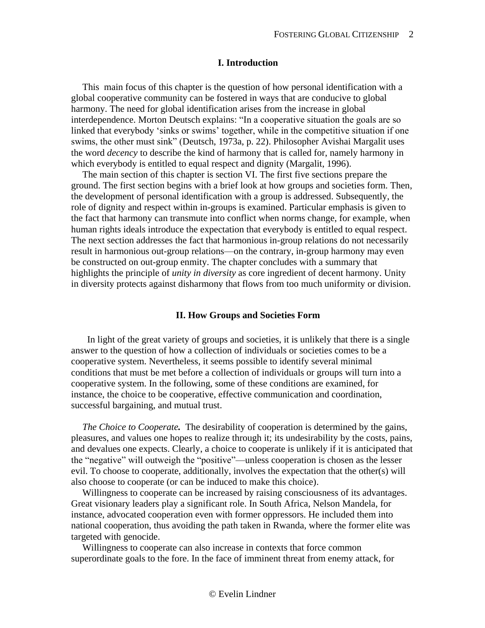## **I. Introduction**

<span id="page-1-0"></span>This main focus of this chapter is the question of how personal identification with a global cooperative community can be fostered in ways that are conducive to global harmony. The need for global identification arises from the increase in global interdependence. Morton Deutsch explains: "In a cooperative situation the goals are so linked that everybody 'sinks or swims' together, while in the competitive situation if one swims, the other must sink" (Deutsch, 1973a, p. 22). Philosopher Avishai Margalit uses the word *decency* to describe the kind of harmony that is called for, namely harmony in which everybody is entitled to equal respect and dignity (Margalit, 1996).

The main section of this chapter is section VI. The first five sections prepare the ground. The first section begins with a brief look at how groups and societies form. Then, the development of personal identification with a group is addressed. Subsequently, the role of dignity and respect within in-groups is examined. Particular emphasis is given to the fact that harmony can transmute into conflict when norms change, for example, when human rights ideals introduce the expectation that everybody is entitled to equal respect. The next section addresses the fact that harmonious in-group relations do not necessarily result in harmonious out-group relations—on the contrary, in-group harmony may even be constructed on out-group enmity. The chapter concludes with a summary that highlights the principle of *unity in diversity* as core ingredient of decent harmony. Unity in diversity protects against disharmony that flows from too much uniformity or division.

#### **II. How Groups and Societies Form**

<span id="page-1-1"></span> In light of the great variety of groups and societies, it is unlikely that there is a single answer to the question of how a collection of individuals or societies comes to be a cooperative system. Nevertheless, it seems possible to identify several minimal conditions that must be met before a collection of individuals or groups will turn into a cooperative system. In the following, some of these conditions are examined, for instance, the choice to be cooperative, effective communication and coordination, successful bargaining, and mutual trust.

*The Choice to Cooperate.*The desirability of cooperation is determined by the gains, pleasures, and values one hopes to realize through it; its undesirability by the costs, pains, and devalues one expects. Clearly, a choice to cooperate is unlikely if it is anticipated that the "negative" will outweigh the "positive"—unless cooperation is chosen as the lesser evil. To choose to cooperate, additionally, involves the expectation that the other(s) will also choose to cooperate (or can be induced to make this choice).

Willingness to cooperate can be increased by raising consciousness of its advantages. Great visionary leaders play a significant role. In South Africa, Nelson Mandela, for instance, advocated cooperation even with former oppressors. He included them into national cooperation, thus avoiding the path taken in Rwanda, where the former elite was targeted with genocide.

Willingness to cooperate can also increase in contexts that force common superordinate goals to the fore. In the face of imminent threat from enemy attack, for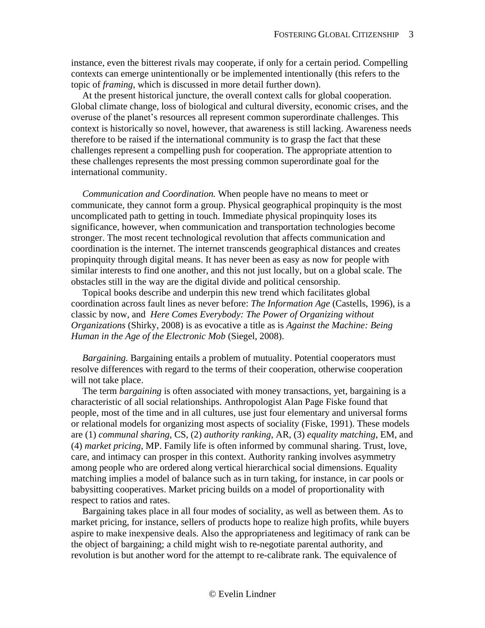instance, even the bitterest rivals may cooperate, if only for a certain period. Compelling contexts can emerge unintentionally or be implemented intentionally (this refers to the topic of *framing*, which is discussed in more detail further down).

At the present historical juncture, the overall context calls for global cooperation. Global climate change, loss of biological and cultural diversity, economic crises, and the overuse of the planet's resources all represent common superordinate challenges. This context is historically so novel, however, that awareness is still lacking. Awareness needs therefore to be raised if the international community is to grasp the fact that these challenges represent a compelling push for cooperation. The appropriate attention to these challenges represents the most pressing common superordinate goal for the international community.

*Communication and Coordination.* When people have no means to meet or communicate, they cannot form a group. Physical geographical propinquity is the most uncomplicated path to getting in touch. Immediate physical propinquity loses its significance, however, when communication and transportation technologies become stronger. The most recent technological revolution that affects communication and coordination is the internet. The internet transcends geographical distances and creates propinquity through digital means. It has never been as easy as now for people with similar interests to find one another, and this not just locally, but on a global scale. The obstacles still in the way are the digital divide and political censorship.

Topical books describe and underpin this new trend which facilitates global coordination across fault lines as never before: *The Information Age* (Castells, 1996), is a classic by now, and *Here Comes Everybody: The Power of Organizing without Organizations* (Shirky, 2008) is as evocative a title as is *Against the Machine: Being Human in the Age of the Electronic Mob* (Siegel, 2008).

*Bargaining.* Bargaining entails a problem of mutuality. Potential cooperators must resolve differences with regard to the terms of their cooperation, otherwise cooperation will not take place.

The term *bargaining* is often associated with money transactions, yet, bargaining is a characteristic of all social relationships. Anthropologist Alan Page Fiske found that people, most of the time and in all cultures, use just four elementary and universal forms or relational models for organizing most aspects of sociality (Fiske, 1991). These models are (1) *communal sharing*, CS, (2) *authority ranking*, AR, (3) *equality matching*, EM, and (4) *market pricing*, MP. Family life is often informed by communal sharing. Trust, love, care, and intimacy can prosper in this context. Authority ranking involves asymmetry among people who are ordered along vertical hierarchical social dimensions. Equality matching implies a model of balance such as in turn taking, for instance, in car pools or babysitting cooperatives. Market pricing builds on a model of proportionality with respect to ratios and rates.

Bargaining takes place in all four modes of sociality, as well as between them. As to market pricing, for instance, sellers of products hope to realize high profits, while buyers aspire to make inexpensive deals. Also the appropriateness and legitimacy of rank can be the object of bargaining; a child might wish to re-negotiate parental authority, and revolution is but another word for the attempt to re-calibrate rank. The equivalence of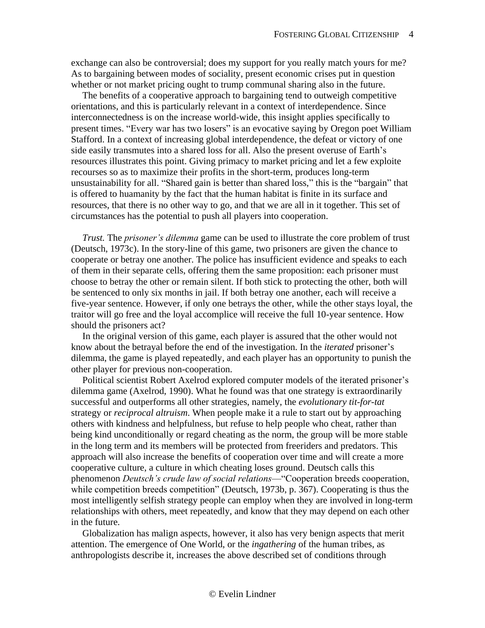exchange can also be controversial; does my support for you really match yours for me? As to bargaining between modes of sociality, present economic crises put in question whether or not market pricing ought to trump communal sharing also in the future.

The benefits of a cooperative approach to bargaining tend to outweigh competitive orientations, and this is particularly relevant in a context of interdependence. Since interconnectedness is on the increase world-wide, this insight applies specifically to present times. "Every war has two losers" is an evocative saying by Oregon poet William Stafford. In a context of increasing global interdependence, the defeat or victory of one side easily transmutes into a shared loss for all. Also the present overuse of Earth's resources illustrates this point. Giving primacy to market pricing and let a few exploite recourses so as to maximize their profits in the short-term, produces long-term unsustainability for all. "Shared gain is better than shared loss," this is the "bargain" that is offered to huamanity by the fact that the human habitat is finite in its surface and resources, that there is no other way to go, and that we are all in it together. This set of circumstances has the potential to push all players into cooperation.

*Trust.* The *prisoner's dilemma* game can be used to illustrate the core problem of trust (Deutsch, 1973c). In the story-line of this game, two prisoners are given the chance to cooperate or betray one another. The police has insufficient evidence and speaks to each of them in their separate cells, offering them the same proposition: each prisoner must choose to betray the other or remain silent. If both stick to protecting the other, both will be sentenced to only six months in jail. If both betray one another, each will receive a five-year sentence. However, if only one betrays the other, while the other stays loyal, the traitor will go free and the loyal accomplice will receive the full 10-year sentence. How should the prisoners act?

In the original version of this game, each player is assured that the other would not know about the betrayal before the end of the investigation. In the *iterated* prisoner's dilemma, the game is played repeatedly, and each player has an opportunity to punish the other player for previous non-cooperation.

Political scientist Robert Axelrod explored computer models of the iterated prisoner's dilemma game (Axelrod, 1990). What he found was that one strategy is extraordinarily successful and outperforms all other strategies, namely, the *evolutionary tit-for-tat*  strategy or *reciprocal altruism*. When people make it a rule to start out by approaching others with kindness and helpfulness, but refuse to help people who cheat, rather than being kind unconditionally or regard cheating as the norm, the group will be more stable in the long term and its members will be protected from freeriders and predators. This approach will also increase the benefits of cooperation over time and will create a more cooperative culture, a culture in which cheating loses ground. Deutsch calls this phenomenon *Deutsch's crude law of social relations*—"Cooperation breeds cooperation, while competition breeds competition" (Deutsch, 1973b, p. 367). Cooperating is thus the most intelligently selfish strategy people can employ when they are involved in long-term relationships with others, meet repeatedly, and know that they may depend on each other in the future.

Globalization has malign aspects, however, it also has very benign aspects that merit attention. The emergence of One World, or the *ingathering* of the human tribes, as anthropologists describe it, increases the above described set of conditions through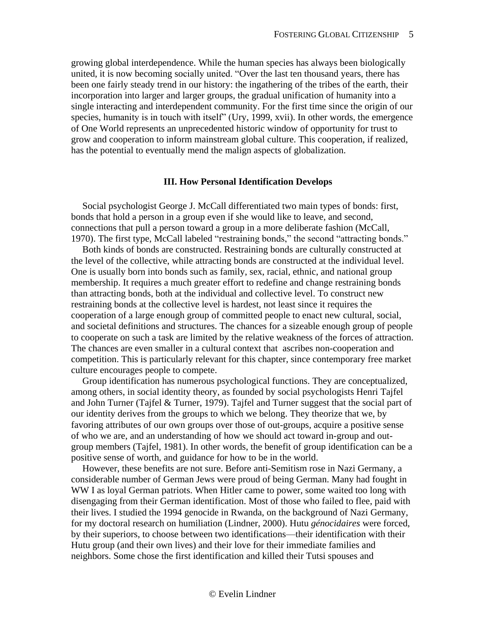growing global interdependence. While the human species has always been biologically united, it is now becoming socially united. "Over the last ten thousand years, there has been one fairly steady trend in our history: the ingathering of the tribes of the earth, their incorporation into larger and larger groups, the gradual unification of humanity into a single interacting and interdependent community. For the first time since the origin of our species, humanity is in touch with itself" (Ury, 1999, xvii). In other words, the emergence of One World represents an unprecedented historic window of opportunity for trust to grow and cooperation to inform mainstream global culture. This cooperation, if realized, has the potential to eventually mend the malign aspects of globalization.

#### **III. How Personal Identification Develops**

<span id="page-4-0"></span>Social psychologist George J. McCall differentiated two main types of bonds: first, bonds that hold a person in a group even if she would like to leave, and second, connections that pull a person toward a group in a more deliberate fashion (McCall, 1970). The first type, McCall labeled "restraining bonds," the second "attracting bonds."

Both kinds of bonds are constructed. Restraining bonds are culturally constructed at the level of the collective, while attracting bonds are constructed at the individual level. One is usually born into bonds such as family, sex, racial, ethnic, and national group membership. It requires a much greater effort to redefine and change restraining bonds than attracting bonds, both at the individual and collective level. To construct new restraining bonds at the collective level is hardest, not least since it requires the cooperation of a large enough group of committed people to enact new cultural, social, and societal definitions and structures. The chances for a sizeable enough group of people to cooperate on such a task are limited by the relative weakness of the forces of attraction. The chances are even smaller in a cultural context that ascribes non-cooperation and competition. This is particularly relevant for this chapter, since contemporary free market culture encourages people to compete.

Group identification has numerous psychological functions. They are conceptualized, among others, in social identity theory, as founded by social psychologists Henri Tajfel and John Turner (Tajfel & Turner, 1979). Tajfel and Turner suggest that the social part of our identity derives from the groups to which we belong. They theorize that we, by favoring attributes of our own groups over those of out-groups, acquire a positive sense of who we are, and an understanding of how we should act toward in-group and outgroup members (Tajfel, 1981). In other words, the benefit of group identification can be a positive sense of worth, and guidance for how to be in the world.

However, these benefits are not sure. Before anti-Semitism rose in Nazi Germany, a considerable number of German Jews were proud of being German. Many had fought in WW I as loyal German patriots. When Hitler came to power, some waited too long with disengaging from their German identification. Most of those who failed to flee, paid with their lives. I studied the 1994 genocide in Rwanda, on the background of Nazi Germany, for my doctoral research on humiliation (Lindner, 2000). Hutu *génocidaires* were forced, by their superiors, to choose between two identifications—their identification with their Hutu group (and their own lives) and their love for their immediate families and neighbors. Some chose the first identification and killed their Tutsi spouses and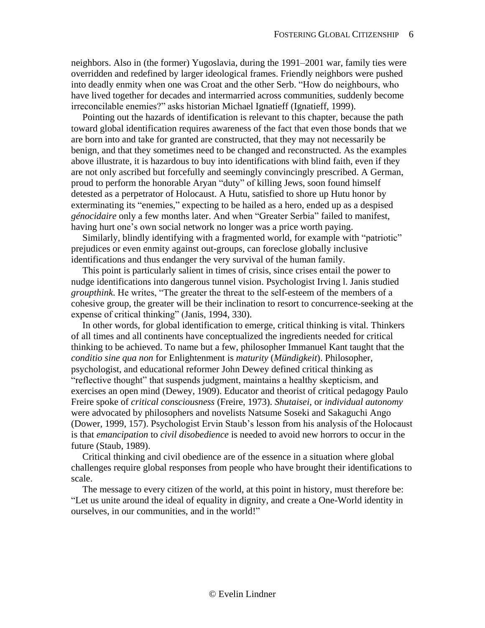neighbors. Also in (the former) Yugoslavia, during the 1991–2001 war, family ties were overridden and redefined by larger ideological frames. Friendly neighbors were pushed into deadly enmity when one was Croat and the other Serb. "How do neighbours, who have lived together for decades and intermarried across communities, suddenly become irreconcilable enemies?" asks historian Michael Ignatieff (Ignatieff, 1999).

Pointing out the hazards of identification is relevant to this chapter, because the path toward global identification requires awareness of the fact that even those bonds that we are born into and take for granted are constructed, that they may not necessarily be benign, and that they sometimes need to be changed and reconstructed. As the examples above illustrate, it is hazardous to buy into identifications with blind faith, even if they are not only ascribed but forcefully and seemingly convincingly prescribed. A German, proud to perform the honorable Aryan "duty" of killing Jews, soon found himself detested as a perpetrator of Holocaust. A Hutu, satisfied to shore up Hutu honor by exterminating its "enemies," expecting to be hailed as a hero, ended up as a despised *génocidaire* only a few months later. And when "Greater Serbia" failed to manifest, having hurt one's own social network no longer was a price worth paying.

Similarly, blindly identifying with a fragmented world, for example with "patriotic" prejudices or even enmity against out-groups, can foreclose globally inclusive identifications and thus endanger the very survival of the human family.

This point is particularly salient in times of crisis, since crises entail the power to nudge identifications into dangerous tunnel vision. Psychologist Irving l. Janis studied *groupthink*. He writes, "The greater the threat to the self-esteem of the members of a cohesive group, the greater will be their inclination to resort to concurrence-seeking at the expense of critical thinking" (Janis, 1994, 330).

In other words, for global identification to emerge, critical thinking is vital. Thinkers of all times and all continents have conceptualized the ingredients needed for critical thinking to be achieved. To name but a few, philosopher Immanuel Kant taught that the *conditio sine qua non* for Enlightenment is *maturity* (*Mündigkeit*). Philosopher, psychologist, and educational reformer John Dewey defined critical thinking as "reflective thought" that suspends judgment, maintains a healthy skepticism, and exercises an open mind (Dewey, 1909). Educator and theorist of critical pedagogy Paulo Freire spoke of *critical consciousness* (Freire, 1973). *Shutaisei*, or *individual autonomy* were advocated by philosophers and novelists Natsume Soseki and Sakaguchi Ango (Dower, 1999, 157). Psychologist Ervin Staub's lesson from his analysis of the Holocaust is that *emancipation* to *civil disobedience* is needed to avoid new horrors to occur in the future (Staub, 1989).

Critical thinking and civil obedience are of the essence in a situation where global challenges require global responses from people who have brought their identifications to scale.

The message to every citizen of the world, at this point in history, must therefore be: "Let us unite around the ideal of equality in dignity, and create a One-World identity in ourselves, in our communities, and in the world!"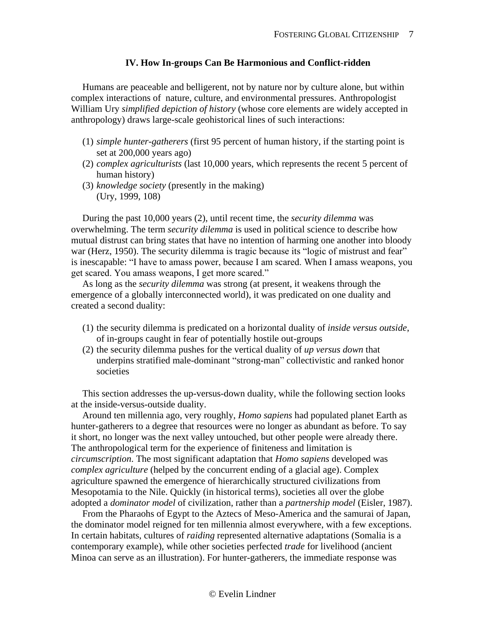## **IV. How In-groups Can Be Harmonious and Conflict-ridden**

<span id="page-6-0"></span>Humans are peaceable and belligerent, not by nature nor by culture alone, but within complex interactions of nature, culture, and environmental pressures. Anthropologist William Ury *simplified depiction of history* (whose core elements are widely accepted in anthropology) draws large-scale geohistorical lines of such interactions:

- (1) *simple hunter-gatherers* (first 95 percent of human history, if the starting point is set at 200,000 years ago)
- (2) *complex agriculturists* (last 10,000 years, which represents the recent 5 percent of human history)
- (3) *knowledge society* (presently in the making) (Ury, 1999, 108)

During the past 10,000 years (2), until recent time, the *security dilemma* was overwhelming. The term *security dilemma* is used in political science to describe how mutual distrust can bring states that have no intention of harming one another into bloody war (Herz, 1950). The security dilemma is tragic because its "logic of mistrust and fear" is inescapable: "I have to amass power, because I am scared. When I amass weapons, you get scared. You amass weapons, I get more scared."

As long as the *security dilemma* was strong (at present, it weakens through the emergence of a globally interconnected world), it was predicated on one duality and created a second duality:

- (1) the security dilemma is predicated on a horizontal duality of *inside versus outside*, of in-groups caught in fear of potentially hostile out-groups
- (2) the security dilemma pushes for the vertical duality of *up versus down* that underpins stratified male-dominant "strong-man" collectivistic and ranked honor societies

This section addresses the up-versus-down duality, while the following section looks at the inside-versus-outside duality.

Around ten millennia ago, very roughly, *Homo sapiens* had populated planet Earth as hunter-gatherers to a degree that resources were no longer as abundant as before. To say it short, no longer was the next valley untouched, but other people were already there. The anthropological term for the experience of finiteness and limitation is *circumscription*. The most significant adaptation that *Homo sapiens* developed was *complex agriculture* (helped by the concurrent ending of a glacial age). Complex agriculture spawned the emergence of hierarchically structured civilizations from Mesopotamia to the Nile. Quickly (in historical terms), societies all over the globe adopted a *dominator model* of civilization, rather than a *partnership model* (Eisler, 1987).

From the Pharaohs of Egypt to the Aztecs of Meso-America and the samurai of Japan, the dominator model reigned for ten millennia almost everywhere, with a few exceptions. In certain habitats, cultures of *raiding* represented alternative adaptations (Somalia is a contemporary example), while other societies perfected *trade* for livelihood (ancient Minoa can serve as an illustration). For hunter-gatherers, the immediate response was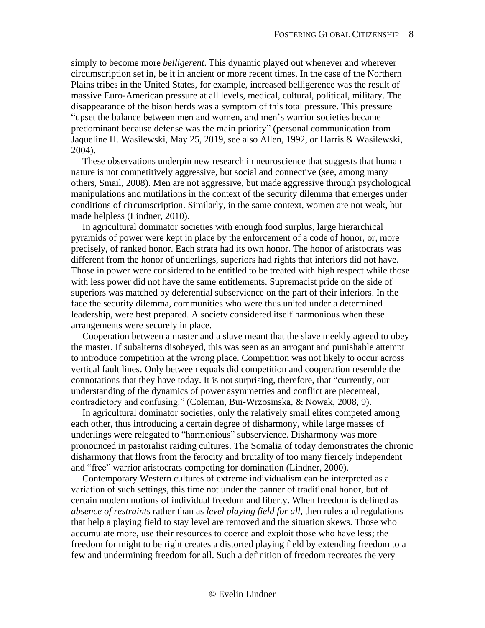simply to become more *belligerent*. This dynamic played out whenever and wherever circumscription set in, be it in ancient or more recent times. In the case of the Northern Plains tribes in the United States, for example, increased belligerence was the result of massive Euro-American pressure at all levels, medical, cultural, political, military. The disappearance of the bison herds was a symptom of this total pressure. This pressure "upset the balance between men and women, and men's warrior societies became predominant because defense was the main priority" (personal communication from Jaqueline H. Wasilewski, May 25, 2019, see also Allen, 1992, or Harris & Wasilewski, 2004).

These observations underpin new research in neuroscience that suggests that human nature is not competitively aggressive, but social and connective (see, among many others, Smail, 2008). Men are not aggressive, but made aggressive through psychological manipulations and mutilations in the context of the security dilemma that emerges under conditions of circumscription. Similarly, in the same context, women are not weak, but made helpless (Lindner, 2010).

In agricultural dominator societies with enough food surplus, large hierarchical pyramids of power were kept in place by the enforcement of a code of honor, or, more precisely, of ranked honor. Each strata had its own honor. The honor of aristocrats was different from the honor of underlings, superiors had rights that inferiors did not have. Those in power were considered to be entitled to be treated with high respect while those with less power did not have the same entitlements. Supremacist pride on the side of superiors was matched by deferential subservience on the part of their inferiors. In the face the security dilemma, communities who were thus united under a determined leadership, were best prepared. A society considered itself harmonious when these arrangements were securely in place.

Cooperation between a master and a slave meant that the slave meekly agreed to obey the master. If subalterns disobeyed, this was seen as an arrogant and punishable attempt to introduce competition at the wrong place. Competition was not likely to occur across vertical fault lines. Only between equals did competition and cooperation resemble the connotations that they have today. It is not surprising, therefore, that "currently, our understanding of the dynamics of power asymmetries and conflict are piecemeal, contradictory and confusing." (Coleman, Bui-Wrzosinska, & Nowak, 2008, 9).

In agricultural dominator societies, only the relatively small elites competed among each other, thus introducing a certain degree of disharmony, while large masses of underlings were relegated to "harmonious" subservience. Disharmony was more pronounced in pastoralist raiding cultures. The Somalia of today demonstrates the chronic disharmony that flows from the ferocity and brutality of too many fiercely independent and "free" warrior aristocrats competing for domination (Lindner, 2000).

Contemporary Western cultures of extreme individualism can be interpreted as a variation of such settings, this time not under the banner of traditional honor, but of certain modern notions of individual freedom and liberty. When freedom is defined as *absence of restraints* rather than as *level playing field for all*, then rules and regulations that help a playing field to stay level are removed and the situation skews. Those who accumulate more, use their resources to coerce and exploit those who have less; the freedom for might to be right creates a distorted playing field by extending freedom to a few and undermining freedom for all. Such a definition of freedom recreates the very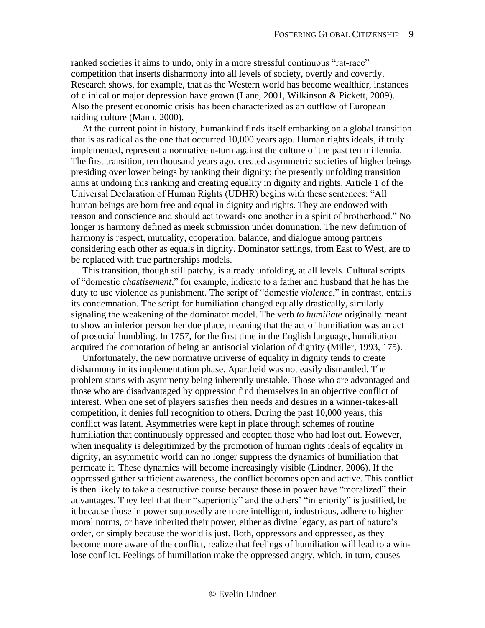ranked societies it aims to undo, only in a more stressful continuous "rat-race" competition that inserts disharmony into all levels of society, overtly and covertly. Research shows, for example, that as the Western world has become wealthier, instances of clinical or major depression have grown (Lane, 2001, Wilkinson & Pickett, 2009). Also the present economic crisis has been characterized as an outflow of European raiding culture (Mann, 2000).

At the current point in history, humankind finds itself embarking on a global transition that is as radical as the one that occurred 10,000 years ago. Human rights ideals, if truly implemented, represent a normative u-turn against the culture of the past ten millennia. The first transition, ten thousand years ago, created asymmetric societies of higher beings presiding over lower beings by ranking their dignity; the presently unfolding transition aims at undoing this ranking and creating equality in dignity and rights. Article 1 of the Universal Declaration of Human Rights (UDHR) begins with these sentences: "All human beings are born free and equal in dignity and rights. They are endowed with reason and conscience and should act towards one another in a spirit of brotherhood." No longer is harmony defined as meek submission under domination. The new definition of harmony is respect, mutuality, cooperation, balance, and dialogue among partners considering each other as equals in dignity. Dominator settings, from East to West, are to be replaced with true partnerships models.

This transition, though still patchy, is already unfolding, at all levels. Cultural scripts of "domestic *chastisement*," for example, indicate to a father and husband that he has the duty to use violence as punishment. The script of "domestic *violence*," in contrast, entails its condemnation. The script for humiliation changed equally drastically, similarly signaling the weakening of the dominator model. The verb *to humiliate* originally meant to show an inferior person her due place, meaning that the act of humiliation was an act of prosocial humbling. In 1757, for the first time in the English language, humiliation acquired the connotation of being an antisocial violation of dignity (Miller, 1993, 175).

Unfortunately, the new normative universe of equality in dignity tends to create disharmony in its implementation phase. Apartheid was not easily dismantled. The problem starts with asymmetry being inherently unstable. Those who are advantaged and those who are disadvantaged by oppression find themselves in an objective conflict of interest. When one set of players satisfies their needs and desires in a winner-takes-all competition, it denies full recognition to others. During the past 10,000 years, this conflict was latent. Asymmetries were kept in place through schemes of routine humiliation that continuously oppressed and coopted those who had lost out. However, when inequality is delegitimized by the promotion of human rights ideals of equality in dignity, an asymmetric world can no longer suppress the dynamics of humiliation that permeate it. These dynamics will become increasingly visible (Lindner, 2006). If the oppressed gather sufficient awareness, the conflict becomes open and active. This conflict is then likely to take a destructive course because those in power have "moralized" their advantages. They feel that their "superiority" and the others' "inferiority" is justified, be it because those in power supposedly are more intelligent, industrious, adhere to higher moral norms, or have inherited their power, either as divine legacy, as part of nature's order, or simply because the world is just. Both, oppressors and oppressed, as they become more aware of the conflict, realize that feelings of humiliation will lead to a winlose conflict. Feelings of humiliation make the oppressed angry, which, in turn, causes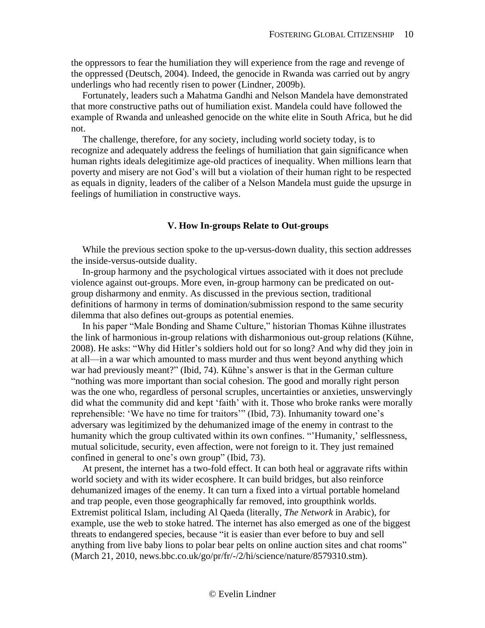the oppressors to fear the humiliation they will experience from the rage and revenge of the oppressed (Deutsch, 2004). Indeed, the genocide in Rwanda was carried out by angry underlings who had recently risen to power (Lindner, 2009b).

Fortunately, leaders such a Mahatma Gandhi and Nelson Mandela have demonstrated that more constructive paths out of humiliation exist. Mandela could have followed the example of Rwanda and unleashed genocide on the white elite in South Africa, but he did not.

The challenge, therefore, for any society, including world society today, is to recognize and adequately address the feelings of humiliation that gain significance when human rights ideals delegitimize age-old practices of inequality. When millions learn that poverty and misery are not God's will but a violation of their human right to be respected as equals in dignity, leaders of the caliber of a Nelson Mandela must guide the upsurge in feelings of humiliation in constructive ways.

#### **V. How In-groups Relate to Out-groups**

<span id="page-9-0"></span>While the previous section spoke to the up-versus-down duality, this section addresses the inside-versus-outside duality.

In-group harmony and the psychological virtues associated with it does not preclude violence against out-groups. More even, in-group harmony can be predicated on outgroup disharmony and enmity. As discussed in the previous section, traditional definitions of harmony in terms of domination/submission respond to the same security dilemma that also defines out-groups as potential enemies.

In his paper "Male Bonding and Shame Culture," historian Thomas Kühne illustrates the link of harmonious in-group relations with disharmonious out-group relations (Kühne, 2008). He asks: "Why did Hitler's soldiers hold out for so long? And why did they join in at all—in a war which amounted to mass murder and thus went beyond anything which war had previously meant?" (Ibid, 74). Kühne's answer is that in the German culture "nothing was more important than social cohesion. The good and morally right person was the one who, regardless of personal scruples, uncertainties or anxieties, unswervingly did what the community did and kept 'faith' with it. Those who broke ranks were morally reprehensible: 'We have no time for traitors'" (Ibid, 73). Inhumanity toward one's adversary was legitimized by the dehumanized image of the enemy in contrast to the humanity which the group cultivated within its own confines. "Humanity,' selflessness, mutual solicitude, security, even affection, were not foreign to it. They just remained confined in general to one's own group" (Ibid, 73).

At present, the internet has a two-fold effect. It can both heal or aggravate rifts within world society and with its wider ecosphere. It can build bridges, but also reinforce dehumanized images of the enemy. It can turn a fixed into a virtual portable homeland and trap people, even those geographically far removed, into groupthink worlds. Extremist political Islam, including Al Qaeda (literally, *The Network* in Arabic), for example, use the web to stoke hatred. The internet has also emerged as one of the biggest threats to endangered species, because "it is easier than ever before to buy and sell anything from live baby lions to polar bear pelts on online auction sites and chat rooms" (March 21, 2010, news.bbc.co.uk/go/pr/fr/-/2/hi/science/nature/8579310.stm).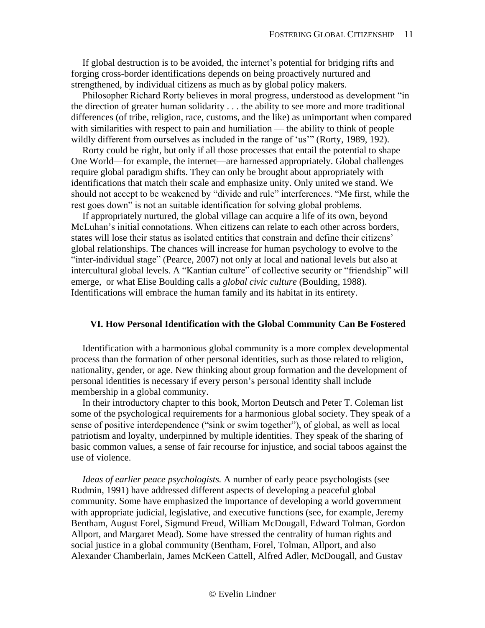If global destruction is to be avoided, the internet's potential for bridging rifts and forging cross-border identifications depends on being proactively nurtured and strengthened, by individual citizens as much as by global policy makers.

Philosopher Richard Rorty believes in moral progress, understood as development "in the direction of greater human solidarity . . . the ability to see more and more traditional differences (of tribe, religion, race, customs, and the like) as unimportant when compared with similarities with respect to pain and humiliation — the ability to think of people wildly different from ourselves as included in the range of 'us'" (Rorty, 1989, 192).

Rorty could be right, but only if all those processes that entail the potential to shape One World—for example, the internet—are harnessed appropriately. Global challenges require global paradigm shifts. They can only be brought about appropriately with identifications that match their scale and emphasize unity. Only united we stand. We should not accept to be weakened by "divide and rule" interferences. "Me first, while the rest goes down" is not an suitable identification for solving global problems.

If appropriately nurtured, the global village can acquire a life of its own, beyond McLuhan's initial connotations. When citizens can relate to each other across borders, states will lose their status as isolated entities that constrain and define their citizens' global relationships. The chances will increase for human psychology to evolve to the "inter-individual stage" (Pearce, 2007) not only at local and national levels but also at intercultural global levels. A "Kantian culture" of collective security or "friendship" will emerge, or what Elise Boulding calls a *global civic culture* (Boulding, 1988). Identifications will embrace the human family and its habitat in its entirety.

## <span id="page-10-0"></span>**VI. How Personal Identification with the Global Community Can Be Fostered**

Identification with a harmonious global community is a more complex developmental process than the formation of other personal identities, such as those related to religion, nationality, gender, or age. New thinking about group formation and the development of personal identities is necessary if every person's personal identity shall include membership in a global community.

In their introductory chapter to this book, Morton Deutsch and Peter T. Coleman list some of the psychological requirements for a harmonious global society. They speak of a sense of positive interdependence ("sink or swim together"), of global, as well as local patriotism and loyalty, underpinned by multiple identities. They speak of the sharing of basic common values, a sense of fair recourse for injustice, and social taboos against the use of violence.

*Ideas of earlier peace psychologists.* A number of early peace psychologists (see Rudmin, 1991) have addressed different aspects of developing a peaceful global community. Some have emphasized the importance of developing a world government with appropriate judicial, legislative, and executive functions (see, for example, Jeremy Bentham, August Forel, Sigmund Freud, William McDougall, Edward Tolman, Gordon Allport, and Margaret Mead). Some have stressed the centrality of human rights and social justice in a global community (Bentham, Forel, Tolman, Allport, and also Alexander Chamberlain, James McKeen Cattell, Alfred Adler, McDougall, and Gustav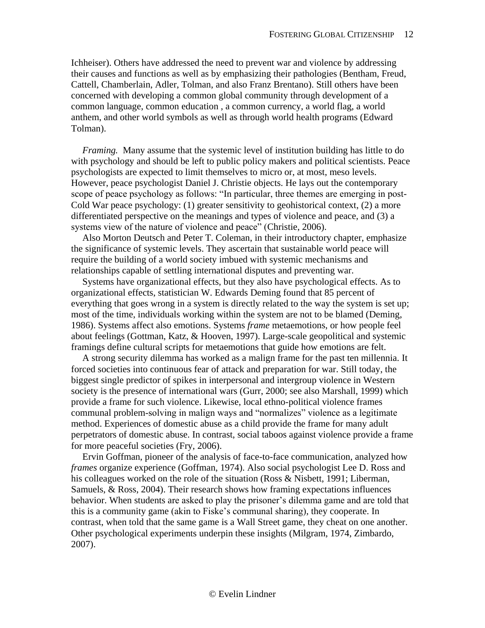Ichheiser). Others have addressed the need to prevent war and violence by addressing their causes and functions as well as by emphasizing their pathologies (Bentham, Freud, Cattell, Chamberlain, Adler, Tolman, and also Franz Brentano). Still others have been concerned with developing a common global community through development of a common language, common education , a common currency, a world flag, a world anthem, and other world symbols as well as through world health programs (Edward Tolman).

*Framing.* Many assume that the systemic level of institution building has little to do with psychology and should be left to public policy makers and political scientists. Peace psychologists are expected to limit themselves to micro or, at most, meso levels. However, peace psychologist Daniel J. Christie objects. He lays out the contemporary scope of peace psychology as follows: "In particular, three themes are emerging in post-Cold War peace psychology: (1) greater sensitivity to geohistorical context, (2) a more differentiated perspective on the meanings and types of violence and peace, and (3) a systems view of the nature of violence and peace" (Christie, 2006).

Also Morton Deutsch and Peter T. Coleman, in their introductory chapter, emphasize the significance of systemic levels. They ascertain that sustainable world peace will require the building of a world society imbued with systemic mechanisms and relationships capable of settling international disputes and preventing war.

Systems have organizational effects, but they also have psychological effects. As to organizational effects, statistician W. Edwards Deming found that 85 percent of everything that goes wrong in a system is directly related to the way the system is set up; most of the time, individuals working within the system are not to be blamed (Deming, 1986). Systems affect also emotions. Systems *frame* metaemotions, or how people feel about feelings (Gottman, Katz, & Hooven, 1997). Large-scale geopolitical and systemic framings define cultural scripts for metaemotions that guide how emotions are felt.

A strong security dilemma has worked as a malign frame for the past ten millennia. It forced societies into continuous fear of attack and preparation for war. Still today, the biggest single predictor of spikes in interpersonal and intergroup violence in Western society is the presence of international wars (Gurr, 2000; see also Marshall, 1999) which provide a frame for such violence. Likewise, local ethno-political violence frames communal problem-solving in malign ways and "normalizes" violence as a legitimate method. Experiences of domestic abuse as a child provide the frame for many adult perpetrators of domestic abuse. In contrast, social taboos against violence provide a frame for more peaceful societies (Fry, 2006).

Ervin Goffman, pioneer of the analysis of face-to-face communication, analyzed how *frames* organize experience (Goffman, 1974). Also social psychologist Lee D. Ross and his colleagues worked on the role of the situation (Ross & Nisbett, 1991; Liberman, Samuels, & Ross, 2004). Their research shows how framing expectations influences behavior. When students are asked to play the prisoner's dilemma game and are told that this is a community game (akin to Fiske's communal sharing), they cooperate. In contrast, when told that the same game is a Wall Street game, they cheat on one another. Other psychological experiments underpin these insights (Milgram, 1974, Zimbardo, 2007).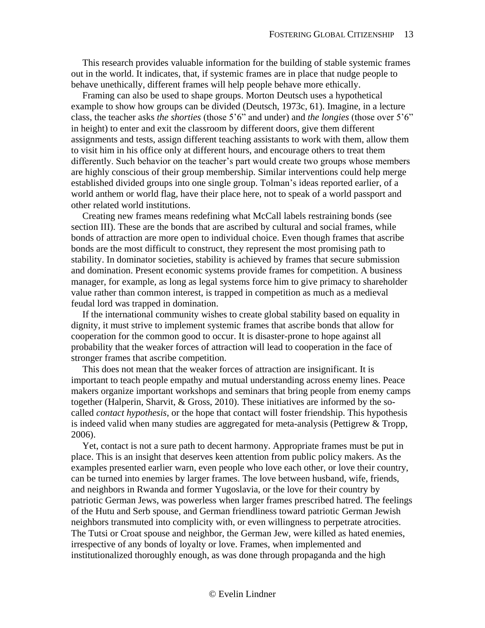This research provides valuable information for the building of stable systemic frames out in the world. It indicates, that, if systemic frames are in place that nudge people to behave unethically, different frames will help people behave more ethically.

Framing can also be used to shape groups. Morton Deutsch uses a hypothetical example to show how groups can be divided (Deutsch, 1973c, 61). Imagine, in a lecture class, the teacher asks *the shorties* (those 5'6" and under) and *the longies* (those over 5'6" in height) to enter and exit the classroom by different doors, give them different assignments and tests, assign different teaching assistants to work with them, allow them to visit him in his office only at different hours, and encourage others to treat them differently. Such behavior on the teacher's part would create two groups whose members are highly conscious of their group membership. Similar interventions could help merge established divided groups into one single group. Tolman's ideas reported earlier, of a world anthem or world flag, have their place here, not to speak of a world passport and other related world institutions.

Creating new frames means redefining what McCall labels restraining bonds (see section III). These are the bonds that are ascribed by cultural and social frames, while bonds of attraction are more open to individual choice. Even though frames that ascribe bonds are the most difficult to construct, they represent the most promising path to stability. In dominator societies, stability is achieved by frames that secure submission and domination. Present economic systems provide frames for competition. A business manager, for example, as long as legal systems force him to give primacy to shareholder value rather than common interest, is trapped in competition as much as a medieval feudal lord was trapped in domination.

If the international community wishes to create global stability based on equality in dignity, it must strive to implement systemic frames that ascribe bonds that allow for cooperation for the common good to occur. It is disaster-prone to hope against all probability that the weaker forces of attraction will lead to cooperation in the face of stronger frames that ascribe competition.

This does not mean that the weaker forces of attraction are insignificant. It is important to teach people empathy and mutual understanding across enemy lines. Peace makers organize important workshops and seminars that bring people from enemy camps together (Halperin, Sharvit, & Gross, 2010). These initiatives are informed by the socalled *contact hypothesis*, or the hope that contact will foster friendship. This hypothesis is indeed valid when many studies are aggregated for meta-analysis (Pettigrew  $&$  Tropp, 2006).

Yet, contact is not a sure path to decent harmony. Appropriate frames must be put in place. This is an insight that deserves keen attention from public policy makers. As the examples presented earlier warn, even people who love each other, or love their country, can be turned into enemies by larger frames. The love between husband, wife, friends, and neighbors in Rwanda and former Yugoslavia, or the love for their country by patriotic German Jews, was powerless when larger frames prescribed hatred. The feelings of the Hutu and Serb spouse, and German friendliness toward patriotic German Jewish neighbors transmuted into complicity with, or even willingness to perpetrate atrocities. The Tutsi or Croat spouse and neighbor, the German Jew, were killed as hated enemies, irrespective of any bonds of loyalty or love. Frames, when implemented and institutionalized thoroughly enough, as was done through propaganda and the high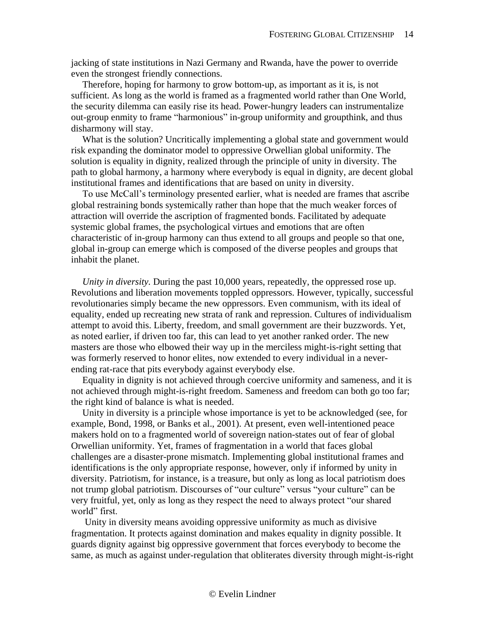jacking of state institutions in Nazi Germany and Rwanda, have the power to override even the strongest friendly connections.

Therefore, hoping for harmony to grow bottom-up, as important as it is, is not sufficient. As long as the world is framed as a fragmented world rather than One World, the security dilemma can easily rise its head. Power-hungry leaders can instrumentalize out-group enmity to frame "harmonious" in-group uniformity and groupthink, and thus disharmony will stay.

What is the solution? Uncritically implementing a global state and government would risk expanding the dominator model to oppressive Orwellian global uniformity. The solution is equality in dignity, realized through the principle of unity in diversity. The path to global harmony, a harmony where everybody is equal in dignity, are decent global institutional frames and identifications that are based on unity in diversity.

To use McCall's terminology presented earlier, what is needed are frames that ascribe global restraining bonds systemically rather than hope that the much weaker forces of attraction will override the ascription of fragmented bonds. Facilitated by adequate systemic global frames, the psychological virtues and emotions that are often characteristic of in-group harmony can thus extend to all groups and people so that one, global in-group can emerge which is composed of the diverse peoples and groups that inhabit the planet.

*Unity in diversity.* During the past 10,000 years, repeatedly, the oppressed rose up. Revolutions and liberation movements toppled oppressors. However, typically, successful revolutionaries simply became the new oppressors. Even communism, with its ideal of equality, ended up recreating new strata of rank and repression. Cultures of individualism attempt to avoid this. Liberty, freedom, and small government are their buzzwords. Yet, as noted earlier, if driven too far, this can lead to yet another ranked order. The new masters are those who elbowed their way up in the merciless might-is-right setting that was formerly reserved to honor elites, now extended to every individual in a neverending rat-race that pits everybody against everybody else.

Equality in dignity is not achieved through coercive uniformity and sameness, and it is not achieved through might-is-right freedom. Sameness and freedom can both go too far; the right kind of balance is what is needed.

Unity in diversity is a principle whose importance is yet to be acknowledged (see, for example, Bond, 1998, or Banks et al., 2001). At present, even well-intentioned peace makers hold on to a fragmented world of sovereign nation-states out of fear of global Orwellian uniformity. Yet, frames of fragmentation in a world that faces global challenges are a disaster-prone mismatch. Implementing global institutional frames and identifications is the only appropriate response, however, only if informed by unity in diversity. Patriotism, for instance, is a treasure, but only as long as local patriotism does not trump global patriotism. Discourses of "our culture" versus "your culture" can be very fruitful, yet, only as long as they respect the need to always protect "our shared world" first.

Unity in diversity means avoiding oppressive uniformity as much as divisive fragmentation. It protects against domination and makes equality in dignity possible. It guards dignity against big oppressive government that forces everybody to become the same, as much as against under-regulation that obliterates diversity through might-is-right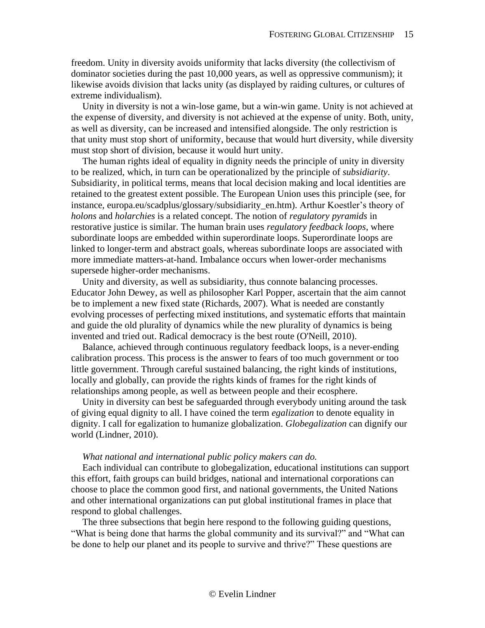freedom. Unity in diversity avoids uniformity that lacks diversity (the collectivism of dominator societies during the past 10,000 years, as well as oppressive communism); it likewise avoids division that lacks unity (as displayed by raiding cultures, or cultures of extreme individualism).

Unity in diversity is not a win-lose game, but a win-win game. Unity is not achieved at the expense of diversity, and diversity is not achieved at the expense of unity. Both, unity, as well as diversity, can be increased and intensified alongside. The only restriction is that unity must stop short of uniformity, because that would hurt diversity, while diversity must stop short of division, because it would hurt unity.

The human rights ideal of equality in dignity needs the principle of unity in diversity to be realized, which, in turn can be operationalized by the principle of *subsidiarity*. Subsidiarity, in political terms, means that local decision making and local identities are retained to the greatest extent possible. The European Union uses this principle (see, for instance, europa.eu/scadplus/glossary/subsidiarity\_en.htm). Arthur Koestler's theory of *holons* and *holarchies* is a related concept. The notion of *regulatory pyramids* in restorative justice is similar. The human brain uses *regulatory feedback loops*, where subordinate loops are embedded within superordinate loops. Superordinate loops are linked to longer-term and abstract goals, whereas subordinate loops are associated with more immediate matters-at-hand. Imbalance occurs when lower-order mechanisms supersede higher-order mechanisms.

Unity and diversity, as well as subsidiarity, thus connote balancing processes. Educator John Dewey, as well as philosopher Karl Popper, ascertain that the aim cannot be to implement a new fixed state (Richards, 2007). What is needed are constantly evolving processes of perfecting mixed institutions, and systematic efforts that maintain and guide the old plurality of dynamics while the new plurality of dynamics is being invented and tried out. Radical democracy is the best route (O'Neill, 2010).

Balance, achieved through continuous regulatory feedback loops, is a never-ending calibration process. This process is the answer to fears of too much government or too little government. Through careful sustained balancing, the right kinds of institutions, locally and globally, can provide the rights kinds of frames for the right kinds of relationships among people, as well as between people and their ecosphere.

Unity in diversity can best be safeguarded through everybody uniting around the task of giving equal dignity to all. I have coined the term *egalization* to denote equality in dignity. I call for egalization to humanize globalization. *Globegalization* can dignify our world (Lindner, 2010).

#### *What national and international public policy makers can do.*

Each individual can contribute to globegalization, educational institutions can support this effort, faith groups can build bridges, national and international corporations can choose to place the common good first, and national governments, the United Nations and other international organizations can put global institutional frames in place that respond to global challenges.

The three subsections that begin here respond to the following guiding questions, "What is being done that harms the global community and its survival?" and "What can be done to help our planet and its people to survive and thrive?" These questions are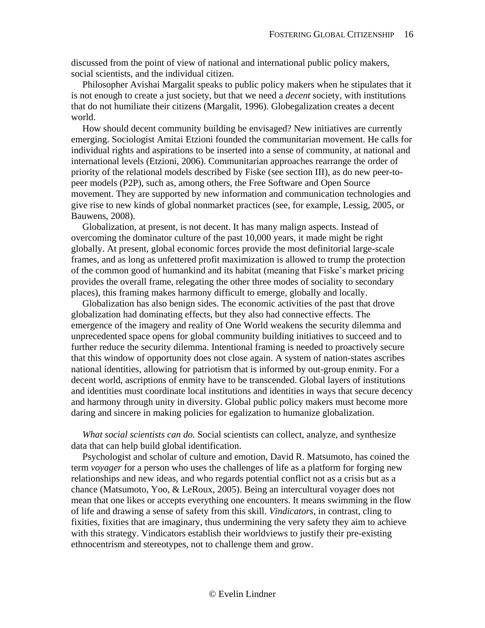discussed from the point of view of national and international public policy makers, social scientists, and the individual citizen.

Philosopher Avishai Margalit speaks to public policy makers when he stipulates that it is not enough to create a just society, but that we need a *decent* society, with institutions that do not humiliate their citizens (Margalit, 1996). Globegalization creates a decent world.

How should decent community building be envisaged? New initiatives are currently emerging. Sociologist Amitai Etzioni founded the communitarian movement. He calls for individual rights and aspirations to be inserted into a sense of community, at national and international levels (Etzioni, 2006). Communitarian approaches rearrange the order of priority of the relational models described by Fiske (see section III), as do new peer-topeer models (P2P), such as, among others, the Free Software and Open Source movement. They are supported by new information and communication technologies and give rise to new kinds of global nonmarket practices (see, for example, Lessig, 2005, or Bauwens, 2008).

Globalization, at present, is not decent. It has many malign aspects. Instead of overcoming the dominator culture of the past 10,000 years, it made might be right globally. At present, global economic forces provide the most definitorial large-scale frames, and as long as unfettered profit maximization is allowed to trump the protection of the common good of humankind and its habitat (meaning that Fiske's market pricing provides the overall frame, relegating the other three modes of sociality to secondary places), this framing makes harmony difficult to emerge, globally and locally.

Globalization has also benign sides. The economic activities of the past that drove globalization had dominating effects, but they also had connective effects. The emergence of the imagery and reality of One World weakens the security dilemma and unprecedented space opens for global community building initiatives to succeed and to further reduce the security dilemma. Intentional framing is needed to proactively secure that this window of opportunity does not close again. A system of nation-states ascribes national identities, allowing for patriotism that is informed by out-group enmity. For a decent world, ascriptions of enmity have to be transcended. Global layers of institutions and identities must coordinate local institutions and identities in ways that secure decency and harmony through unity in diversity. Global public policy makers must become more daring and sincere in making policies for egalization to humanize globalization.

*What social scientists can do.* Social scientists can collect, analyze, and synthesize data that can help build global identification.

Psychologist and scholar of culture and emotion, David R. Matsumoto, has coined the term *voyager* for a person who uses the challenges of life as a platform for forging new relationships and new ideas, and who regards potential conflict not as a crisis but as a chance (Matsumoto, Yoo, & LeRoux, 2005). Being an intercultural voyager does not mean that one likes or accepts everything one encounters. It means swimming in the flow of life and drawing a sense of safety from this skill. *Vindicators*, in contrast, cling to fixities, fixities that are imaginary, thus undermining the very safety they aim to achieve with this strategy. Vindicators establish their worldviews to justify their pre-existing ethnocentrism and stereotypes, not to challenge them and grow.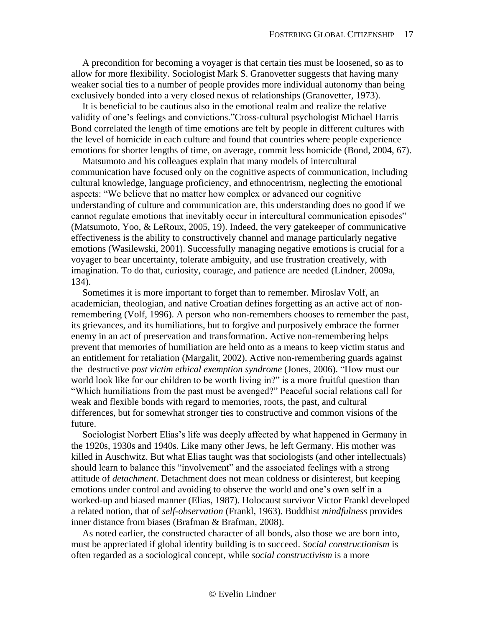A precondition for becoming a voyager is that certain ties must be loosened, so as to allow for more flexibility. Sociologist Mark S. Granovetter suggests that having many weaker social ties to a number of people provides more individual autonomy than being exclusively bonded into a very closed nexus of relationships (Granovetter, 1973).

It is beneficial to be cautious also in the emotional realm and realize the relative validity of one's feelings and convictions."Cross-cultural psychologist Michael Harris Bond correlated the length of time emotions are felt by people in different cultures with the level of homicide in each culture and found that countries where people experience emotions for shorter lengths of time, on average, commit less homicide (Bond, 2004, 67).

Matsumoto and his colleagues explain that many models of intercultural communication have focused only on the cognitive aspects of communication, including cultural knowledge, language proficiency, and ethnocentrism, neglecting the emotional aspects: "We believe that no matter how complex or advanced our cognitive understanding of culture and communication are, this understanding does no good if we cannot regulate emotions that inevitably occur in intercultural communication episodes" (Matsumoto, Yoo, & LeRoux, 2005, 19). Indeed, the very gatekeeper of communicative effectiveness is the ability to constructively channel and manage particularly negative emotions (Wasilewski, 2001). Successfully managing negative emotions is crucial for a voyager to bear uncertainty, tolerate ambiguity, and use frustration creatively, with imagination. To do that, curiosity, courage, and patience are needed (Lindner, 2009a, 134).

Sometimes it is more important to forget than to remember. Miroslav Volf, an academician, theologian, and native Croatian defines forgetting as an active act of nonremembering (Volf, 1996). A person who non-remembers chooses to remember the past, its grievances, and its humiliations, but to forgive and purposively embrace the former enemy in an act of preservation and transformation. Active non-remembering helps prevent that memories of humiliation are held onto as a means to keep victim status and an entitlement for retaliation (Margalit, 2002). Active non-remembering guards against the destructive *post victim ethical exemption syndrome* (Jones, 2006). "How must our world look like for our children to be worth living in?" is a more fruitful question than "Which humiliations from the past must be avenged?" Peaceful social relations call for weak and flexible bonds with regard to memories, roots, the past, and cultural differences, but for somewhat stronger ties to constructive and common visions of the future.

Sociologist Norbert Elias's life was deeply affected by what happened in Germany in the 1920s, 1930s and 1940s. Like many other Jews, he left Germany. His mother was killed in Auschwitz. But what Elias taught was that sociologists (and other intellectuals) should learn to balance this "involvement" and the associated feelings with a strong attitude of *detachment*. Detachment does not mean coldness or disinterest, but keeping emotions under control and avoiding to observe the world and one's own self in a worked-up and biased manner (Elias, 1987). Holocaust survivor Victor Frankl developed a related notion, that of *self-observation* (Frankl, 1963). Buddhist *mindfulness* provides inner distance from biases (Brafman & Brafman, 2008).

As noted earlier, the constructed character of all bonds, also those we are born into, must be appreciated if global identity building is to succeed. *Social constructionism* is often regarded as a sociological concept, while *social constructivism* is a more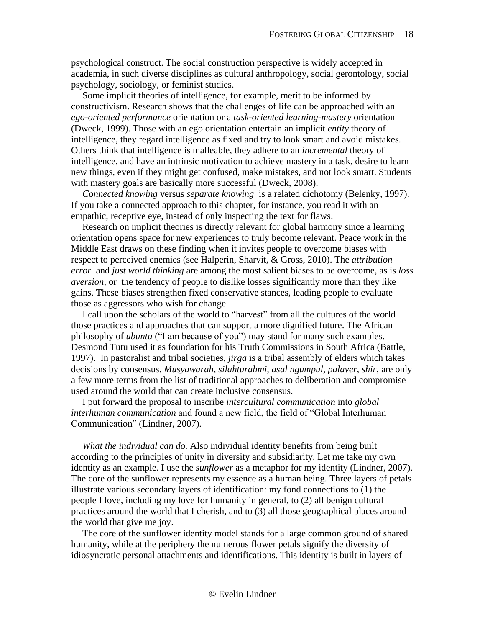psychological construct. The social construction perspective is widely accepted in academia, in such diverse disciplines as cultural anthropology, social gerontology, social psychology, sociology, or feminist studies.

Some implicit theories of intelligence, for example, merit to be informed by constructivism. Research shows that the challenges of life can be approached with an *ego-oriented performance* orientation or a *task-oriented learning-mastery* orientation (Dweck, 1999). Those with an ego orientation entertain an implicit *entity* theory of intelligence, they regard intelligence as fixed and try to look smart and avoid mistakes. Others think that intelligence is malleable, they adhere to an *incremental* theory of intelligence, and have an intrinsic motivation to achieve mastery in a task, desire to learn new things, even if they might get confused, make mistakes, and not look smart. Students with mastery goals are basically more successful (Dweck, 2008).

*Connected knowing* versus *separate knowing* is a related dichotomy (Belenky, 1997). If you take a connected approach to this chapter, for instance, you read it with an empathic, receptive eye, instead of only inspecting the text for flaws.

Research on implicit theories is directly relevant for global harmony since a learning orientation opens space for new experiences to truly become relevant. Peace work in the Middle East draws on these finding when it invites people to overcome biases with respect to perceived enemies (see Halperin, Sharvit, & Gross, 2010). The *attribution error* and *just world thinking* are among the most salient biases to be overcome, as is *loss aversion*, or the tendency of people to dislike losses significantly more than they like gains. These biases strengthen fixed conservative stances, leading people to evaluate those as aggressors who wish for change.

I call upon the scholars of the world to "harvest" from all the cultures of the world those practices and approaches that can support a more dignified future. The African philosophy of *ubuntu* ("I am because of you") may stand for many such examples. Desmond Tutu used it as foundation for his Truth Commissions in South Africa (Battle, 1997). In pastoralist and tribal societies, *jirga* is a tribal assembly of elders which takes decisions by consensus. *Musyawarah, silahturahmi, asal ngumpul, palaver, shir*, are only a few more terms from the list of traditional approaches to deliberation and compromise used around the world that can create inclusive consensus.

I put forward the proposal to inscribe *intercultural communication* into *global interhuman communication* and found a new field, the field of "Global Interhuman Communication" (Lindner, 2007).

*What the individual can do.* Also individual identity benefits from being built according to the principles of unity in diversity and subsidiarity. Let me take my own identity as an example. I use the *sunflower* as a metaphor for my identity (Lindner, 2007). The core of the sunflower represents my essence as a human being. Three layers of petals illustrate various secondary layers of identification: my fond connections to (1) the people I love, including my love for humanity in general, to (2) all benign cultural practices around the world that I cherish, and to (3) all those geographical places around the world that give me joy.

The core of the sunflower identity model stands for a large common ground of shared humanity, while at the periphery the numerous flower petals signify the diversity of idiosyncratic personal attachments and identifications. This identity is built in layers of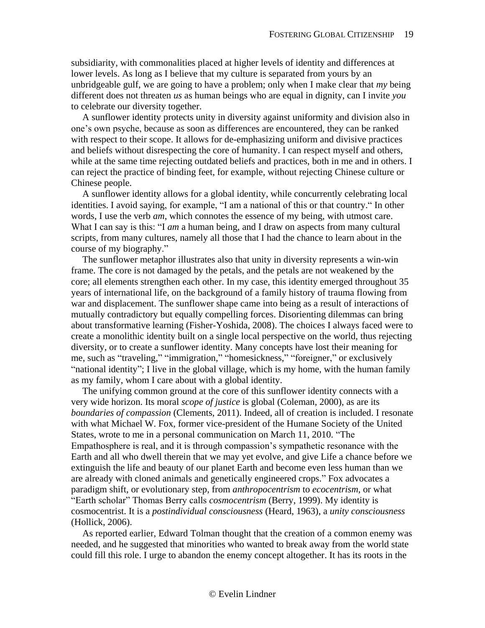subsidiarity, with commonalities placed at higher levels of identity and differences at lower levels. As long as I believe that my culture is separated from yours by an unbridgeable gulf, we are going to have a problem; only when I make clear that *my* being different does not threaten *us* as human beings who are equal in dignity, can I invite *you*  to celebrate our diversity together.

A sunflower identity protects unity in diversity against uniformity and division also in one's own psyche, because as soon as differences are encountered, they can be ranked with respect to their scope. It allows for de-emphasizing uniform and divisive practices and beliefs without disrespecting the core of humanity. I can respect myself and others, while at the same time rejecting outdated beliefs and practices, both in me and in others. I can reject the practice of binding feet, for example, without rejecting Chinese culture or Chinese people.

A sunflower identity allows for a global identity, while concurrently celebrating local identities. I avoid saying, for example, "I am a national of this or that country." In other words, I use the verb *am*, which connotes the essence of my being, with utmost care. What I can say is this: "I *am* a human being, and I draw on aspects from many cultural scripts, from many cultures, namely all those that I had the chance to learn about in the course of my biography."

The sunflower metaphor illustrates also that unity in diversity represents a win-win frame. The core is not damaged by the petals, and the petals are not weakened by the core; all elements strengthen each other. In my case, this identity emerged throughout 35 years of international life, on the background of a family history of trauma flowing from war and displacement. The sunflower shape came into being as a result of interactions of mutually contradictory but equally compelling forces. Disorienting dilemmas can bring about transformative learning (Fisher-Yoshida, 2008). The choices I always faced were to create a monolithic identity built on a single local perspective on the world, thus rejecting diversity, or to create a sunflower identity. Many concepts have lost their meaning for me, such as "traveling," "immigration," "homesickness," "foreigner," or exclusively "national identity"; I live in the global village, which is my home, with the human family as my family, whom I care about with a global identity.

The unifying common ground at the core of this sunflower identity connects with a very wide horizon. Its moral *scope of justice* is global (Coleman, 2000), as are its *boundaries of compassion* (Clements, 2011). Indeed, all of creation is included. I resonate with what Michael W. Fox, former vice-president of the Humane Society of the United States, wrote to me in a personal communication on March 11, 2010. "The Empathosphere is real, and it is through compassion's sympathetic resonance with the Earth and all who dwell therein that we may yet evolve, and give Life a chance before we extinguish the life and beauty of our planet Earth and become even less human than we are already with cloned animals and genetically engineered crops." Fox advocates a paradigm shift, or evolutionary step, from *anthropocentrism* to *ecocentrism*, or what "Earth scholar" Thomas Berry calls *cosmocentrism* (Berry, 1999). My identity is cosmocentrist. It is a *postindividual consciousness* (Heard, 1963), a *unity consciousness* (Hollick, 2006).

As reported earlier, Edward Tolman thought that the creation of a common enemy was needed, and he suggested that minorities who wanted to break away from the world state could fill this role. I urge to abandon the enemy concept altogether. It has its roots in the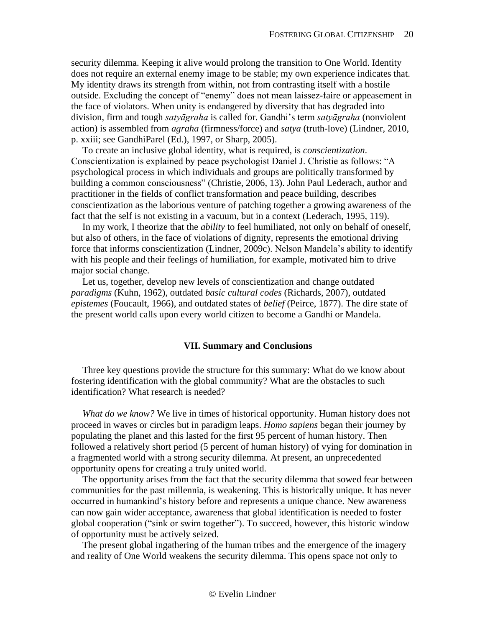security dilemma. Keeping it alive would prolong the transition to One World. Identity does not require an external enemy image to be stable; my own experience indicates that. My identity draws its strength from within, not from contrasting itself with a hostile outside. Excluding the concept of "enemy" does not mean laissez-faire or appeasement in the face of violators. When unity is endangered by diversity that has degraded into division, firm and tough *satyāgraha* is called for. Gandhi's term *satyāgraha* (nonviolent action) is assembled from *agraha* (firmness/force) and *satya* (truth-love) (Lindner, 2010, p. xxiii; see GandhiParel (Ed.), 1997, or Sharp, 2005).

To create an inclusive global identity, what is required, is *conscientization*. Conscientization is explained by peace psychologist Daniel J. Christie as follows: "A psychological process in which individuals and groups are politically transformed by building a common consciousness" (Christie, 2006, 13). John Paul Lederach, author and practitioner in the fields of conflict transformation and peace building, describes conscientization as the laborious venture of patching together a growing awareness of the fact that the self is not existing in a vacuum, but in a context (Lederach, 1995, 119).

In my work, I theorize that the *ability* to feel humiliated, not only on behalf of oneself, but also of others, in the face of violations of dignity, represents the emotional driving force that informs conscientization (Lindner, 2009c). Nelson Mandela's ability to identify with his people and their feelings of humiliation, for example, motivated him to drive major social change.

Let us, together, develop new levels of conscientization and change outdated *paradigms* (Kuhn, 1962), outdated *basic cultural codes* (Richards, 2007), outdated *epistemes* (Foucault, 1966), and outdated states of *belief* (Peirce, 1877). The dire state of the present world calls upon every world citizen to become a Gandhi or Mandela.

## **VII. Summary and Conclusions**

<span id="page-19-0"></span>Three key questions provide the structure for this summary: What do we know about fostering identification with the global community? What are the obstacles to such identification? What research is needed?

*What do we know?* We live in times of historical opportunity. Human history does not proceed in waves or circles but in paradigm leaps. *Homo sapiens* began their journey by populating the planet and this lasted for the first 95 percent of human history. Then followed a relatively short period (5 percent of human history) of vying for domination in a fragmented world with a strong security dilemma. At present, an unprecedented opportunity opens for creating a truly united world.

The opportunity arises from the fact that the security dilemma that sowed fear between communities for the past millennia, is weakening. This is historically unique. It has never occurred in humankind's history before and represents a unique chance. New awareness can now gain wider acceptance, awareness that global identification is needed to foster global cooperation ("sink or swim together"). To succeed, however, this historic window of opportunity must be actively seized.

The present global ingathering of the human tribes and the emergence of the imagery and reality of One World weakens the security dilemma. This opens space not only to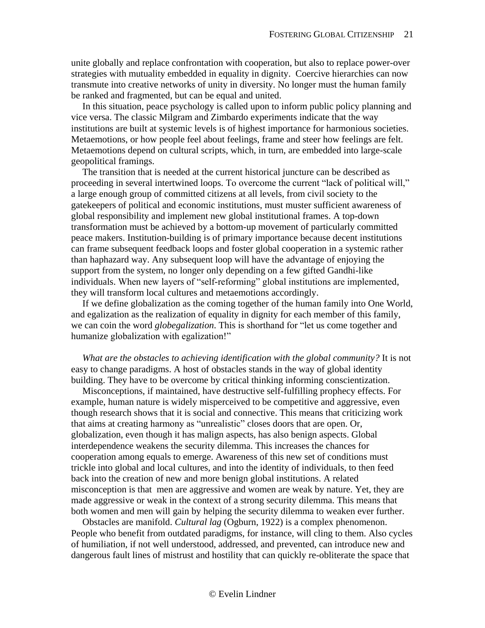unite globally and replace confrontation with cooperation, but also to replace power-over strategies with mutuality embedded in equality in dignity. Coercive hierarchies can now transmute into creative networks of unity in diversity. No longer must the human family be ranked and fragmented, but can be equal and united.

In this situation, peace psychology is called upon to inform public policy planning and vice versa. The classic Milgram and Zimbardo experiments indicate that the way institutions are built at systemic levels is of highest importance for harmonious societies. Metaemotions, or how people feel about feelings, frame and steer how feelings are felt. Metaemotions depend on cultural scripts, which, in turn, are embedded into large-scale geopolitical framings.

The transition that is needed at the current historical juncture can be described as proceeding in several intertwined loops. To overcome the current "lack of political will," a large enough group of committed citizens at all levels, from civil society to the gatekeepers of political and economic institutions, must muster sufficient awareness of global responsibility and implement new global institutional frames. A top-down transformation must be achieved by a bottom-up movement of particularly committed peace makers. Institution-building is of primary importance because decent institutions can frame subsequent feedback loops and foster global cooperation in a systemic rather than haphazard way. Any subsequent loop will have the advantage of enjoying the support from the system, no longer only depending on a few gifted Gandhi-like individuals. When new layers of "self-reforming" global institutions are implemented, they will transform local cultures and metaemotions accordingly.

If we define globalization as the coming together of the human family into One World, and egalization as the realization of equality in dignity for each member of this family, we can coin the word *globegalization*. This is shorthand for "let us come together and humanize globalization with egalization!"

*What are the obstacles to achieving identification with the global community?* It is not easy to change paradigms. A host of obstacles stands in the way of global identity building. They have to be overcome by critical thinking informing conscientization.

Misconceptions, if maintained, have destructive self-fulfilling prophecy effects. For example, human nature is widely misperceived to be competitive and aggressive, even though research shows that it is social and connective. This means that criticizing work that aims at creating harmony as "unrealistic" closes doors that are open. Or, globalization, even though it has malign aspects, has also benign aspects. Global interdependence weakens the security dilemma. This increases the chances for cooperation among equals to emerge. Awareness of this new set of conditions must trickle into global and local cultures, and into the identity of individuals, to then feed back into the creation of new and more benign global institutions. A related misconception is that men are aggressive and women are weak by nature. Yet, they are made aggressive or weak in the context of a strong security dilemma. This means that both women and men will gain by helping the security dilemma to weaken ever further.

Obstacles are manifold. *Cultural lag* (Ogburn, 1922) is a complex phenomenon. People who benefit from outdated paradigms, for instance, will cling to them. Also cycles of humiliation, if not well understood, addressed, and prevented, can introduce new and dangerous fault lines of mistrust and hostility that can quickly re-obliterate the space that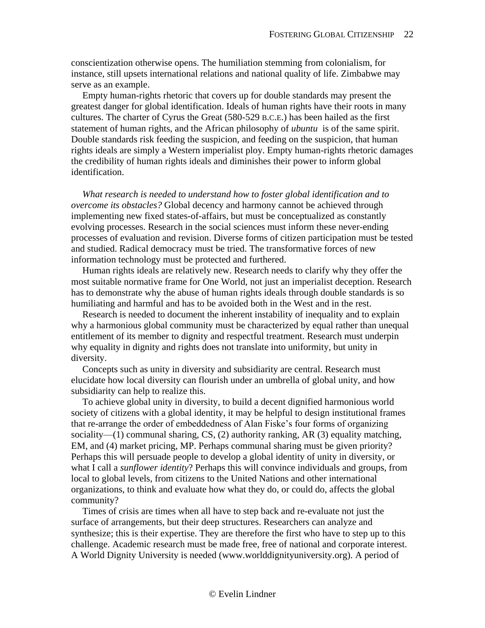conscientization otherwise opens. The humiliation stemming from colonialism, for instance, still upsets international relations and national quality of life. Zimbabwe may serve as an example.

Empty human-rights rhetoric that covers up for double standards may present the greatest danger for global identification. Ideals of human rights have their roots in many cultures. The charter of Cyrus the Great (580-529 B.C.E.) has been hailed as the first statement of human rights, and the African philosophy of *ubuntu* is of the same spirit. Double standards risk feeding the suspicion, and feeding on the suspicion, that human rights ideals are simply a Western imperialist ploy. Empty human-rights rhetoric damages the credibility of human rights ideals and diminishes their power to inform global identification.

*What research is needed to understand how to foster global identification and to overcome its obstacles?* Global decency and harmony cannot be achieved through implementing new fixed states-of-affairs, but must be conceptualized as constantly evolving processes. Research in the social sciences must inform these never-ending processes of evaluation and revision. Diverse forms of citizen participation must be tested and studied. Radical democracy must be tried. The transformative forces of new information technology must be protected and furthered.

Human rights ideals are relatively new. Research needs to clarify why they offer the most suitable normative frame for One World, not just an imperialist deception. Research has to demonstrate why the abuse of human rights ideals through double standards is so humiliating and harmful and has to be avoided both in the West and in the rest.

Research is needed to document the inherent instability of inequality and to explain why a harmonious global community must be characterized by equal rather than unequal entitlement of its member to dignity and respectful treatment. Research must underpin why equality in dignity and rights does not translate into uniformity, but unity in diversity.

Concepts such as unity in diversity and subsidiarity are central. Research must elucidate how local diversity can flourish under an umbrella of global unity, and how subsidiarity can help to realize this.

To achieve global unity in diversity, to build a decent dignified harmonious world society of citizens with a global identity, it may be helpful to design institutional frames that re-arrange the order of embeddedness of Alan Fiske's four forms of organizing sociality—(1) communal sharing, CS, (2) authority ranking, AR (3) equality matching, EM, and (4) market pricing, MP. Perhaps communal sharing must be given priority? Perhaps this will persuade people to develop a global identity of unity in diversity, or what I call a *sunflower identity*? Perhaps this will convince individuals and groups, from local to global levels, from citizens to the United Nations and other international organizations, to think and evaluate how what they do, or could do, affects the global community?

Times of crisis are times when all have to step back and re-evaluate not just the surface of arrangements, but their deep structures. Researchers can analyze and synthesize; this is their expertise. They are therefore the first who have to step up to this challenge. Academic research must be made free, free of national and corporate interest. A World Dignity University is needed (www.worlddignityuniversity.org). A period of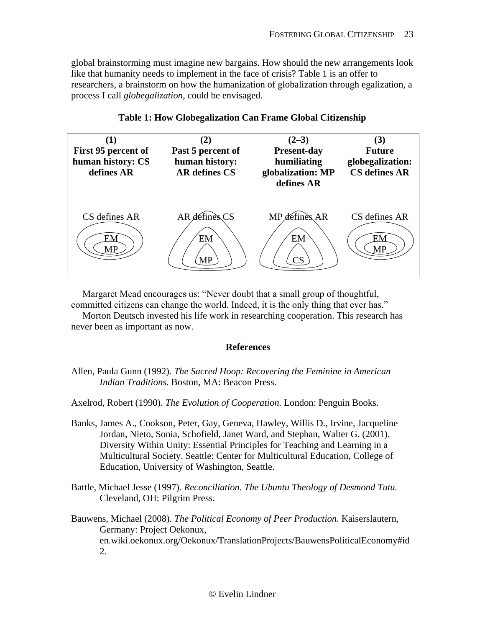global brainstorming must imagine new bargains. How should the new arrangements look like that humanity needs to implement in the face of crisis? Table 1 is an offer to researchers, a brainstorm on how the humanization of globalization through egalization, a process I call *globegalization*, could be envisaged.

| First 95 percent of<br>human history: CS<br>defines AR | Past 5 percent of<br>human history:<br><b>AR</b> defines CS | $(2-3)$<br><b>Present-day</b><br>humiliating<br>globalization: MP<br>defines AR | (3)<br><b>Future</b><br>globegalization:<br><b>CS</b> defines AR |
|--------------------------------------------------------|-------------------------------------------------------------|---------------------------------------------------------------------------------|------------------------------------------------------------------|
| CS defines AR                                          | AR définès CS<br>EM<br>MP                                   | MP defines AR<br>EM<br>$\overline{\text{CS}}$                                   | CS defines AR<br>ЕN                                              |

# **Table 1: How Globegalization Can Frame Global Citizenship**

Margaret Mead encourages us: "Never doubt that a small group of thoughtful,

committed citizens can change the world. Indeed, it is the only thing that ever has."

<span id="page-22-0"></span>Morton Deutsch invested his life work in researching cooperation. This research has never been as important as now.

## **References**

Allen, Paula Gunn (1992). *The Sacred Hoop: Recovering the Feminine in American Indian Traditions.* Boston, MA: Beacon Press.

Axelrod, Robert (1990). *The Evolution of Cooperation.* London: Penguin Books.

- Banks, James A., Cookson, Peter, Gay, Geneva, Hawley, Willis D., Irvine, Jacqueline Jordan, Nieto, Sonia, Schofield, Janet Ward, and Stephan, Walter G. (2001). Diversity Within Unity: Essential Principles for Teaching and Learning in a Multicultural Society. Seattle: Center for Multicultural Education, College of Education, University of Washington, Seattle.
- Battle, Michael Jesse (1997). *Reconciliation. The Ubuntu Theology of Desmond Tutu.*  Cleveland, OH: Pilgrim Press.

Bauwens, Michael (2008). *The Political Economy of Peer Production.* Kaiserslautern, Germany: Project Oekonux, en.wiki.oekonux.org/Oekonux/TranslationProjects/BauwensPoliticalEconomy#id 2.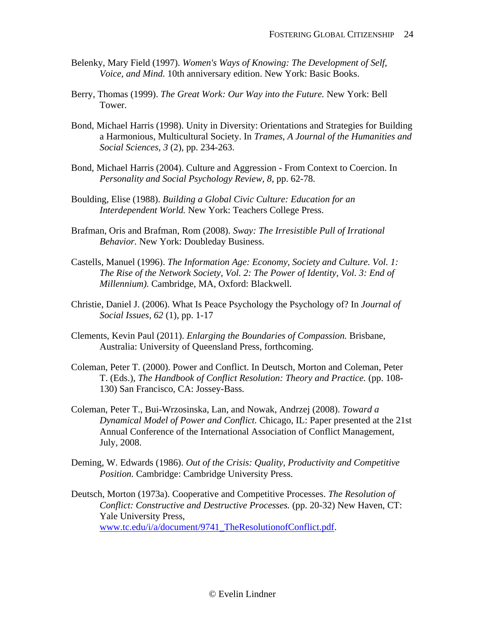- Belenky, Mary Field (1997). *Women's Ways of Knowing: The Development of Self, Voice, and Mind.* 10th anniversary edition. New York: Basic Books.
- Berry, Thomas (1999). *The Great Work: Our Way into the Future.* New York: Bell Tower.
- Bond, Michael Harris (1998). Unity in Diversity: Orientations and Strategies for Building a Harmonious, Multicultural Society. In *Trames, A Journal of the Humanities and Social Sciences, 3* (2), pp. 234-263.
- Bond, Michael Harris (2004). Culture and Aggression From Context to Coercion. In *Personality and Social Psychology Review, 8*, pp. 62-78.
- Boulding, Elise (1988). *Building a Global Civic Culture: Education for an Interdependent World.* New York: Teachers College Press.
- Brafman, Oris and Brafman, Rom (2008). *Sway: The Irresistible Pull of Irrational Behavior.* New York: Doubleday Business.
- Castells, Manuel (1996). *The Information Age: Economy, Society and Culture. Vol. 1: The Rise of the Network Society, Vol. 2: The Power of Identity, Vol. 3: End of Millennium).* Cambridge, MA, Oxford: Blackwell.
- Christie, Daniel J. (2006). What Is Peace Psychology the Psychology of? In *Journal of Social Issues, 62* (1), pp. 1-17
- Clements, Kevin Paul (2011). *Enlarging the Boundaries of Compassion.* Brisbane, Australia: University of Queensland Press, forthcoming.
- Coleman, Peter T. (2000). Power and Conflict. In Deutsch, Morton and Coleman, Peter T. (Eds.), *The Handbook of Conflict Resolution: Theory and Practice.* (pp. 108- 130) San Francisco, CA: Jossey-Bass.
- Coleman, Peter T., Bui-Wrzosinska, Lan, and Nowak, Andrzej (2008). *Toward a Dynamical Model of Power and Conflict.* Chicago, IL: Paper presented at the 21st Annual Conference of the International Association of Conflict Management, July, 2008.
- Deming, W. Edwards (1986). *Out of the Crisis: Quality, Productivity and Competitive Position.* Cambridge: Cambridge University Press.
- Deutsch, Morton (1973a). Cooperative and Competitive Processes. *The Resolution of Conflict: Constructive and Destructive Processes.* (pp. 20-32) New Haven, CT: Yale University Press, [www.tc.edu/i/a/document/9741\\_TheResolutionofConflict.pdf.](http://www.tc.edu/i/a/document/9741_TheResolutionofConflict.pdf)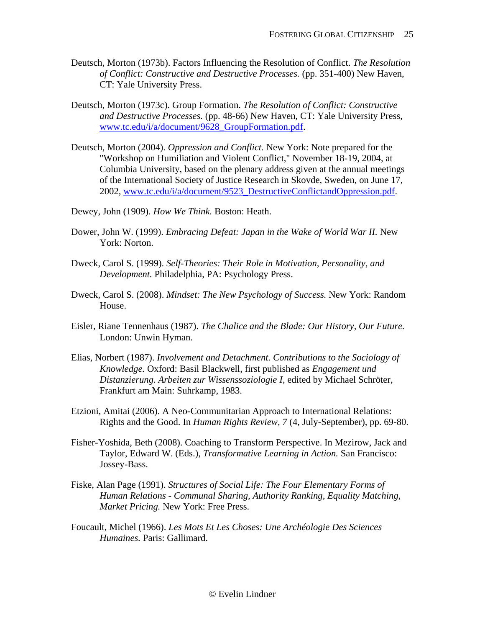- Deutsch, Morton (1973b). Factors Influencing the Resolution of Conflict. *The Resolution of Conflict: Constructive and Destructive Processes.* (pp. 351-400) New Haven, CT: Yale University Press.
- Deutsch, Morton (1973c). Group Formation. *The Resolution of Conflict: Constructive and Destructive Processes.* (pp. 48-66) New Haven, CT: Yale University Press, [www.tc.edu/i/a/document/9628\\_GroupFormation.pdf.](http://www.tc.edu/i/a/document/9628_GroupFormation.pdf)
- Deutsch, Morton (2004). *Oppression and Conflict.* New York: Note prepared for the "Workshop on Humiliation and Violent Conflict," November 18-19, 2004, at Columbia University, based on the plenary address given at the annual meetings of the International Society of Justice Research in Skovde, Sweden, on June 17, 2002, [www.tc.edu/i/a/document/9523\\_DestructiveConflictandOppression.pdf.](http://www.tc.edu/i/a/document/9523_DestructiveConflictandOppression.pdf)
- Dewey, John (1909). *How We Think.* Boston: Heath.
- Dower, John W. (1999). *Embracing Defeat: Japan in the Wake of World War II.* New York: Norton.
- Dweck, Carol S. (1999). *Self-Theories: Their Role in Motivation, Personality, and Development.* Philadelphia, PA: Psychology Press.
- Dweck, Carol S. (2008). *Mindset: The New Psychology of Success.* New York: Random House.
- Eisler, Riane Tennenhaus (1987). *The Chalice and the Blade: Our History, Our Future.*  London: Unwin Hyman.
- Elias, Norbert (1987). *Involvement and Detachment. Contributions to the Sociology of Knowledge.* Oxford: Basil Blackwell, first published as *Engagement und Distanzierung. Arbeiten zur Wissenssoziologie I*, edited by Michael Schröter, Frankfurt am Main: Suhrkamp, 1983.
- Etzioni, Amitai (2006). A Neo-Communitarian Approach to International Relations: Rights and the Good. In *Human Rights Review, 7* (4, July-September), pp. 69-80.
- Fisher-Yoshida, Beth (2008). Coaching to Transform Perspective. In Mezirow, Jack and Taylor, Edward W. (Eds.), *Transformative Learning in Action.* San Francisco: Jossey-Bass.
- Fiske, Alan Page (1991). *Structures of Social Life: The Four Elementary Forms of Human Relations - Communal Sharing, Authority Ranking, Equality Matching, Market Pricing.* New York: Free Press.
- Foucault, Michel (1966). *Les Mots Et Les Choses: Une Archéologie Des Sciences Humaines.* Paris: Gallimard.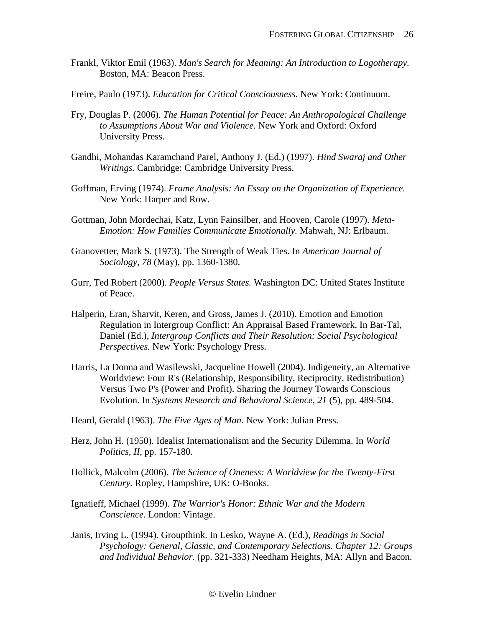- Frankl, Viktor Emil (1963). *Man's Search for Meaning: An Introduction to Logotherapy.*  Boston, MA: Beacon Press.
- Freire, Paulo (1973). *Education for Critical Consciousness.* New York: Continuum.
- Fry, Douglas P. (2006). *The Human Potential for Peace: An Anthropological Challenge to Assumptions About War and Violence.* New York and Oxford: Oxford University Press.
- Gandhi, Mohandas Karamchand Parel, Anthony J. (Ed.) (1997). *Hind Swaraj and Other Writings.* Cambridge: Cambridge University Press.
- Goffman, Erving (1974). *Frame Analysis: An Essay on the Organization of Experience.*  New York: Harper and Row.
- Gottman, John Mordechai, Katz, Lynn Fainsilber, and Hooven, Carole (1997). *Meta-Emotion: How Families Communicate Emotionally.* Mahwah, NJ: Erlbaum.
- Granovetter, Mark S. (1973). The Strength of Weak Ties. In *American Journal of Sociology, 78* (May), pp. 1360-1380.
- Gurr, Ted Robert (2000). *People Versus States.* Washington DC: United States Institute of Peace.
- Halperin, Eran, Sharvit, Keren, and Gross, James J. (2010). Emotion and Emotion Regulation in Intergroup Conflict: An Appraisal Based Framework. In Bar-Tal, Daniel (Ed.), *Intergroup Conflicts and Their Resolution: Social Psychological Perspectives.* New York: Psychology Press.
- Harris, La Donna and Wasilewski, Jacqueline Howell (2004). Indigeneity, an Alternative Worldview: Four R's (Relationship, Responsibility, Reciprocity, Redistribution) Versus Two P's (Power and Profit). Sharing the Journey Towards Conscious Evolution. In *Systems Research and Behavioral Science, 21* (5), pp. 489-504.
- Heard, Gerald (1963). *The Five Ages of Man.* New York: Julian Press.
- Herz, John H. (1950). Idealist Internationalism and the Security Dilemma. In *World Politics, II*, pp. 157-180.
- Hollick, Malcolm (2006). *The Science of Oneness: A Worldview for the Twenty-First Century.* Ropley, Hampshire, UK: O-Books.
- Ignatieff, Michael (1999). *The Warrior's Honor: Ethnic War and the Modern Conscience.* London: Vintage.
- Janis, Irving L. (1994). Groupthink. In Lesko, Wayne A. (Ed.), *Readings in Social Psychology: General, Classic, and Contemporary Selections. Chapter 12: Groups and Individual Behavior.* (pp. 321-333) Needham Heights, MA: Allyn and Bacon.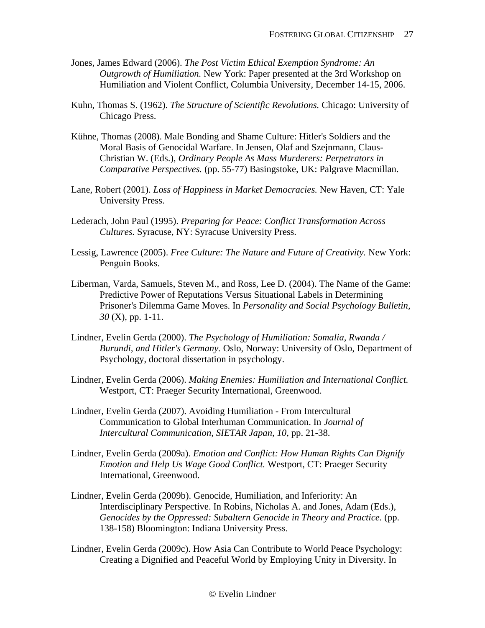- Jones, James Edward (2006). *The Post Victim Ethical Exemption Syndrome: An Outgrowth of Humiliation.* New York: Paper presented at the 3rd Workshop on Humiliation and Violent Conflict, Columbia University, December 14-15, 2006.
- Kuhn, Thomas S. (1962). *The Structure of Scientific Revolutions.* Chicago: University of Chicago Press.
- Kühne, Thomas (2008). Male Bonding and Shame Culture: Hitler's Soldiers and the Moral Basis of Genocidal Warfare. In Jensen, Olaf and Szejnmann, Claus-Christian W. (Eds.), *Ordinary People As Mass Murderers: Perpetrators in Comparative Perspectives.* (pp. 55-77) Basingstoke, UK: Palgrave Macmillan.
- Lane, Robert (2001). *Loss of Happiness in Market Democracies.* New Haven, CT: Yale University Press.
- Lederach, John Paul (1995). *Preparing for Peace: Conflict Transformation Across Cultures.* Syracuse, NY: Syracuse University Press.
- Lessig, Lawrence (2005). *Free Culture: The Nature and Future of Creativity.* New York: Penguin Books.
- Liberman, Varda, Samuels, Steven M., and Ross, Lee D. (2004). The Name of the Game: Predictive Power of Reputations Versus Situational Labels in Determining Prisoner's Dilemma Game Moves. In *Personality and Social Psychology Bulletin, 30* (X), pp. 1-11.
- Lindner, Evelin Gerda (2000). *The Psychology of Humiliation: Somalia, Rwanda / Burundi, and Hitler's Germany.* Oslo, Norway: University of Oslo, Department of Psychology, doctoral dissertation in psychology.
- Lindner, Evelin Gerda (2006). *Making Enemies: Humiliation and International Conflict.*  Westport, CT: Praeger Security International, Greenwood.
- Lindner, Evelin Gerda (2007). Avoiding Humiliation From Intercultural Communication to Global Interhuman Communication. In *Journal of Intercultural Communication, SIETAR Japan, 10*, pp. 21-38.
- Lindner, Evelin Gerda (2009a). *Emotion and Conflict: How Human Rights Can Dignify Emotion and Help Us Wage Good Conflict.* Westport, CT: Praeger Security International, Greenwood.
- Lindner, Evelin Gerda (2009b). Genocide, Humiliation, and Inferiority: An Interdisciplinary Perspective. In Robins, Nicholas A. and Jones, Adam (Eds.), *Genocides by the Oppressed: Subaltern Genocide in Theory and Practice.* (pp. 138-158) Bloomington: Indiana University Press.
- Lindner, Evelin Gerda (2009c). How Asia Can Contribute to World Peace Psychology: Creating a Dignified and Peaceful World by Employing Unity in Diversity. In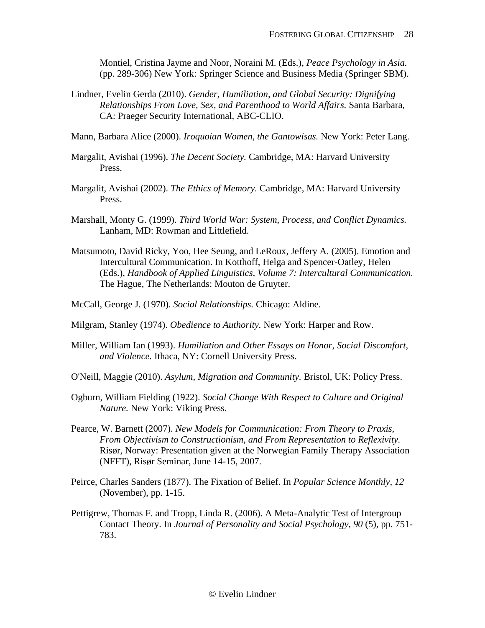Montiel, Cristina Jayme and Noor, Noraini M. (Eds.), *Peace Psychology in Asia.* (pp. 289-306) New York: Springer Science and Business Media (Springer SBM).

- Lindner, Evelin Gerda (2010). *Gender, Humiliation, and Global Security: Dignifying Relationships From Love, Sex, and Parenthood to World Affairs.* Santa Barbara, CA: Praeger Security International, ABC-CLIO.
- Mann, Barbara Alice (2000). *Iroquoian Women, the Gantowisas.* New York: Peter Lang.
- Margalit, Avishai (1996). *The Decent Society.* Cambridge, MA: Harvard University Press.
- Margalit, Avishai (2002). *The Ethics of Memory.* Cambridge, MA: Harvard University Press.
- Marshall, Monty G. (1999). *Third World War: System, Process, and Conflict Dynamics.*  Lanham, MD: Rowman and Littlefield.
- Matsumoto, David Ricky, Yoo, Hee Seung, and LeRoux, Jeffery A. (2005). Emotion and Intercultural Communication. In Kotthoff, Helga and Spencer-Oatley, Helen (Eds.), *Handbook of Applied Linguistics, Volume 7: Intercultural Communication.* The Hague, The Netherlands: Mouton de Gruyter.
- McCall, George J. (1970). *Social Relationships.* Chicago: Aldine.
- Milgram, Stanley (1974). *Obedience to Authority.* New York: Harper and Row.
- Miller, William Ian (1993). *Humiliation and Other Essays on Honor, Social Discomfort, and Violence.* Ithaca, NY: Cornell University Press.
- O'Neill, Maggie (2010). *Asylum, Migration and Community.* Bristol, UK: Policy Press.
- Ogburn, William Fielding (1922). *Social Change With Respect to Culture and Original Nature.* New York: Viking Press.
- Pearce, W. Barnett (2007). *New Models for Communication: From Theory to Praxis, From Objectivism to Constructionism, and From Representation to Reflexivity.*  Risør, Norway: Presentation given at the Norwegian Family Therapy Association (NFFT), Risør Seminar, June 14-15, 2007.
- Peirce, Charles Sanders (1877). The Fixation of Belief. In *Popular Science Monthly, 12* (November), pp. 1-15.
- Pettigrew, Thomas F. and Tropp, Linda R. (2006). A Meta-Analytic Test of Intergroup Contact Theory. In *Journal of Personality and Social Psychology, 90* (5), pp. 751- 783.